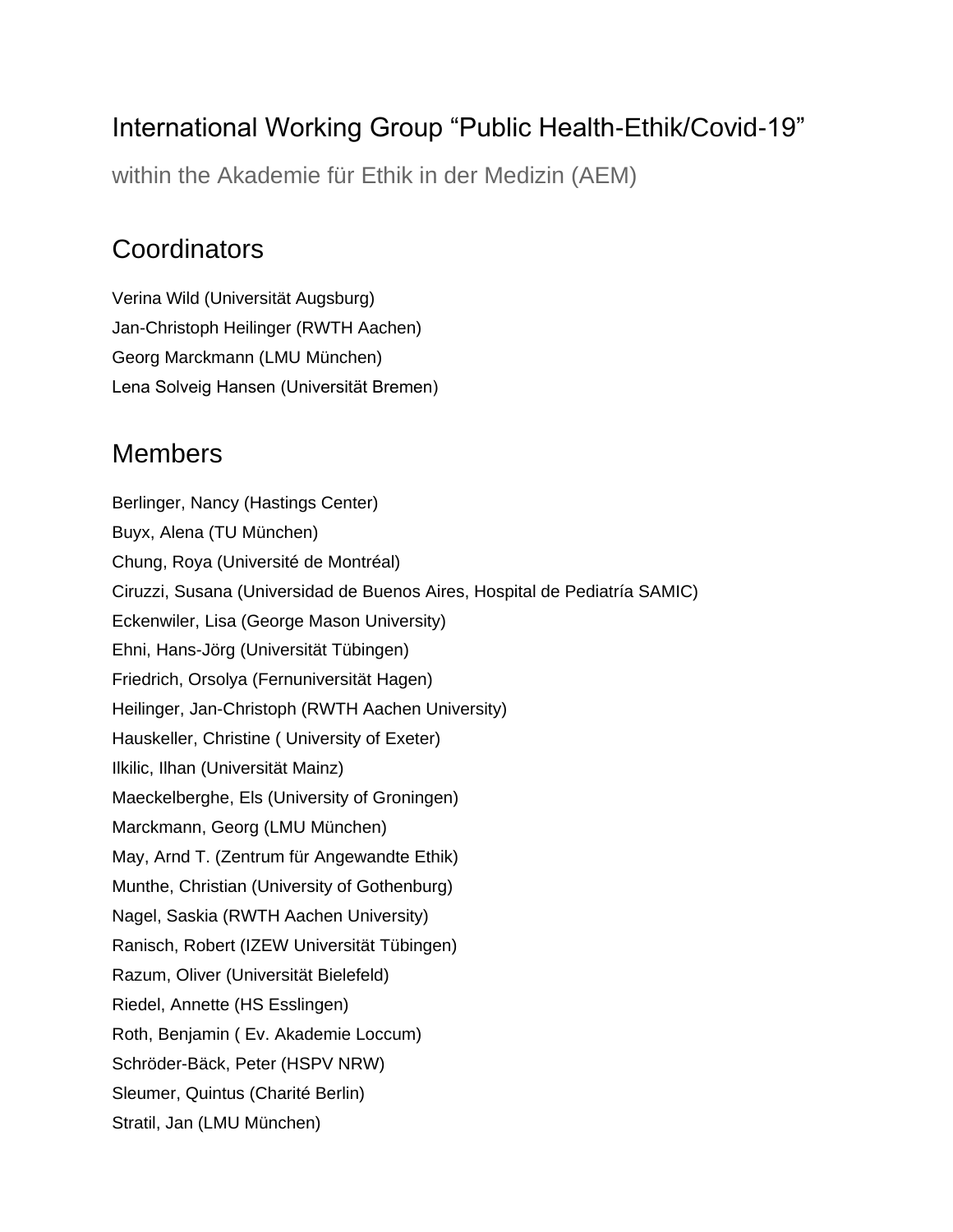# International Working Group "Public Health-Ethik/Covid-19"

within the Akademie für Ethik in der Medizin (AEM)

## **Coordinators**

Verina Wild (Universität Augsburg) Jan-Christoph Heilinger (RWTH Aachen) Georg Marckmann (LMU München) Lena Solveig Hansen (Universität Bremen)

## Members

Berlinger, Nancy (Hastings Center) Buyx, Alena (TU München) Chung, Roya (Université de Montréal) Ciruzzi, Susana (Universidad de Buenos Aires, Hospital de Pediatría SAMIC) Eckenwiler, Lisa (George Mason University) Ehni, Hans-Jörg (Universität Tübingen) Friedrich, Orsolya (Fernuniversität Hagen) Heilinger, Jan-Christoph (RWTH Aachen University) Hauskeller, Christine ( University of Exeter) Ilkilic, Ilhan (Universität Mainz) Maeckelberghe, Els (University of Groningen) Marckmann, Georg (LMU München) May, Arnd T. (Zentrum für Angewandte Ethik) Munthe, Christian (University of Gothenburg) Nagel, Saskia (RWTH Aachen University) Ranisch, Robert (IZEW Universität Tübingen) Razum, Oliver (Universität Bielefeld) Riedel, Annette (HS Esslingen) Roth, Benjamin ( Ev. Akademie Loccum) Schröder-Bäck, Peter (HSPV NRW) Sleumer, Quintus (Charité Berlin) Stratil, Jan (LMU München)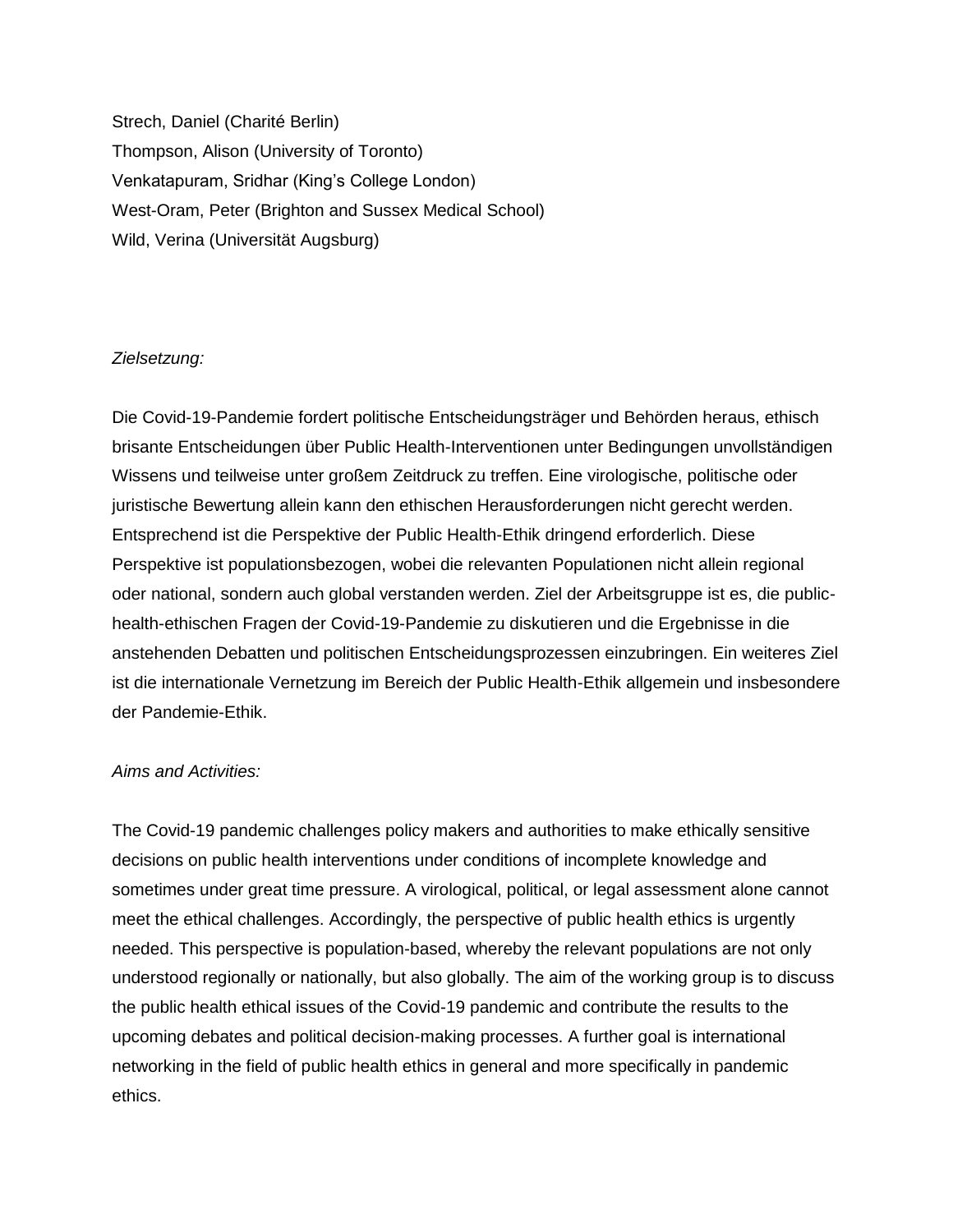Strech, Daniel (Charité Berlin) Thompson, Alison (University of Toronto) Venkatapuram, Sridhar (King's College London) West-Oram, Peter (Brighton and Sussex Medical School) Wild, Verina (Universität Augsburg)

#### *Zielsetzung:*

Die Covid-19-Pandemie fordert politische Entscheidungsträger und Behörden heraus, ethisch brisante Entscheidungen über Public Health-Interventionen unter Bedingungen unvollständigen Wissens und teilweise unter großem Zeitdruck zu treffen. Eine virologische, politische oder juristische Bewertung allein kann den ethischen Herausforderungen nicht gerecht werden. Entsprechend ist die Perspektive der Public Health-Ethik dringend erforderlich. Diese Perspektive ist populationsbezogen, wobei die relevanten Populationen nicht allein regional oder national, sondern auch global verstanden werden. Ziel der Arbeitsgruppe ist es, die publichealth-ethischen Fragen der Covid-19-Pandemie zu diskutieren und die Ergebnisse in die anstehenden Debatten und politischen Entscheidungsprozessen einzubringen. Ein weiteres Ziel ist die internationale Vernetzung im Bereich der Public Health-Ethik allgemein und insbesondere der Pandemie-Ethik.

#### *Aims and Activities:*

The Covid-19 pandemic challenges policy makers and authorities to make ethically sensitive decisions on public health interventions under conditions of incomplete knowledge and sometimes under great time pressure. A virological, political, or legal assessment alone cannot meet the ethical challenges. Accordingly, the perspective of public health ethics is urgently needed. This perspective is population-based, whereby the relevant populations are not only understood regionally or nationally, but also globally. The aim of the working group is to discuss the public health ethical issues of the Covid-19 pandemic and contribute the results to the upcoming debates and political decision-making processes. A further goal is international networking in the field of public health ethics in general and more specifically in pandemic ethics.